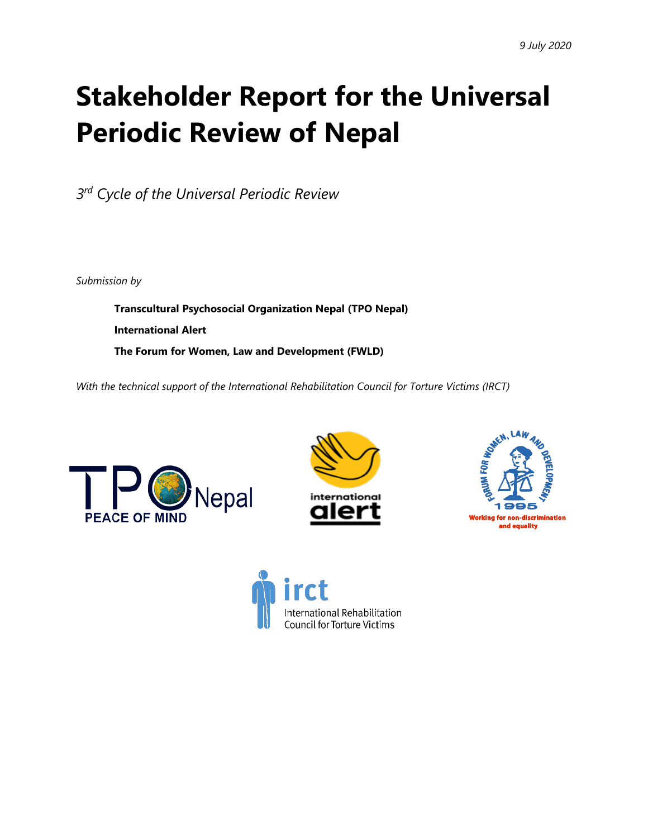# **Stakeholder Report for the Universal Periodic Review of Nepal**

*3rd Cycle of the Universal Periodic Review*

*Submission by*

**Transcultural Psychosocial Organization Nepal (TPO Nepal) International Alert The Forum for Women, Law and Development (FWLD)**

*With the technical suppor<sup>t</sup> of the International Rehabilitation Council for Torture Victims (IRCT)*







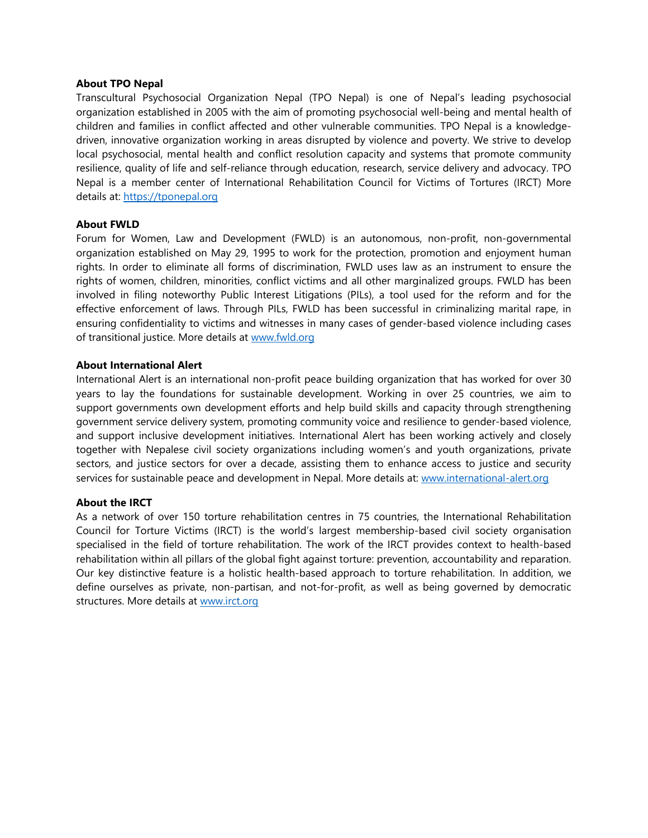#### **About TPO Nepal**

Transcultural Psychosocial Organization Nepal (TPO Nepal) is one of Nepal'<sup>s</sup> leading psychosocial organization established in 2005 with the aim of promoting psychosocial well-being and mental health of children and families in conflict affected and other vulnerable communities. TPO Nepal is <sup>a</sup> knowledgedriven, innovative organization working in areas disrupted by violence and poverty. We strive to develop local psychosocial, mental health and conflict resolution capacity and systems that promote community resilience, quality of life and self-reliance through education, research, service delivery and advocacy. TPO Nepal is <sup>a</sup> member center of International Rehabilitation Council for Victims of Tortures (IRCT) More details at: <https://tponepal.org>

#### **About FWLD**

Forum for Women, Law and Development (FWLD) is an autonomous, non-profit, non-governmental organization established on May 29, 1995 to work for the protection, promotion and enjoyment human rights. In order to eliminate all forms of discrimination, FWLD uses law as an instrument to ensure the rights of women, children, minorities, conflict victims and all other marginalized groups. FWLD has been involved in filing noteworthy Public Interest Litigations (PILs), <sup>a</sup> tool used for the reform and for the effective enforcement of laws. Through PILs, FWLD has been successful in criminalizing marital rape, in ensuring confidentiality to victims and witnesses in many cases of gender-based violence including cases of transitional justice. More details at [www.fwld.org](http://www.fwld.org)

#### **About International Alert**

International Alert is an international non-profit peace building organization that has worked for over 30 years to lay the foundations for sustainable development. Working in over 25 countries, we aim to support governments own development efforts and help build skills and capacity through strengthening governmen<sup>t</sup> service delivery system, promoting community voice and resilience to gender-based violence, and support inclusive development initiatives. International Alert has been working actively and closely together with Nepalese civil society organizations including women'<sup>s</sup> and youth organizations, private sectors, and justice sectors for over <sup>a</sup> decade, assisting them to enhance access to justice and security services for sustainable peace and development in Nepal. More details at: [www.international-alert.org](http://www.international-alert.org)

#### **About the IRCT**

As <sup>a</sup> network of over 150 torture rehabilitation centres in 75 countries, the International Rehabilitation Council for Torture Victims (IRCT) is the world'<sup>s</sup> largest membership-based civil society organisation specialised in the field of torture rehabilitation. The work of the IRCT provides context to health-based rehabilitation within all pillars of the global fight against torture: prevention, accountability and reparation. Our key distinctive feature is <sup>a</sup> holistic health-based approach to torture rehabilitation. In addition, we define ourselves as private, non-partisan, and not-for-profit, as well as being governed by democratic structures. More details at [www.irct.org](http://www.irct.org)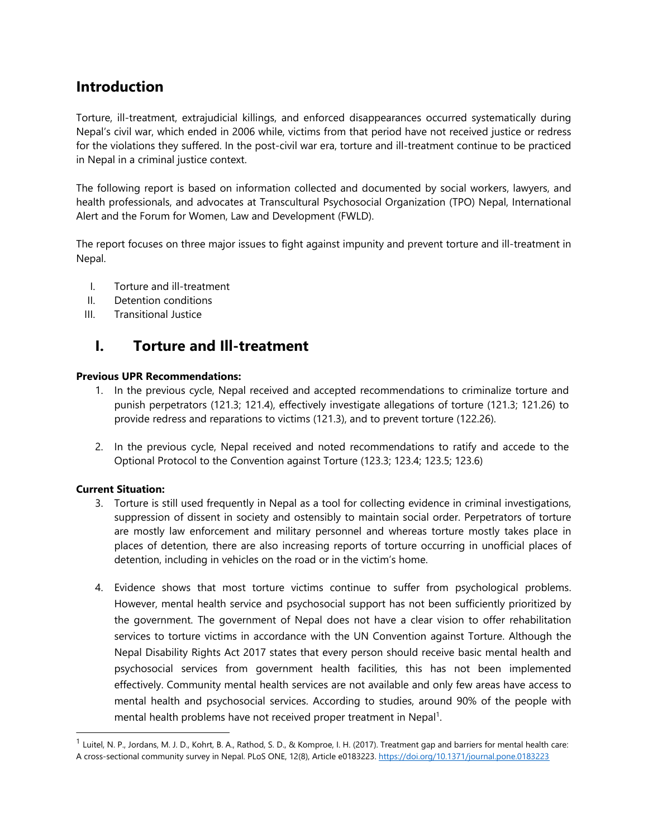# **Introduction**

Torture, ill-treatment, extrajudicial killings, and enforced disappearances occurred systematically during Nepal'<sup>s</sup> civil war, which ended in 2006 while, victims from that period have not received justice or redress for the violations they suffered. In the post-civil war era, torture and ill-treatment continue to be practiced in Nepal in <sup>a</sup> criminal justice context.

The following report is based on information collected and documented by social workers, lawyers, and health professionals, and advocates at Transcultural Psychosocial Organization (TPO) Nepal, International Alert and the Forum for Women, Law and Development (FWLD).

The report focuses on three major issues to fight against impunity and prevent torture and ill-treatment in Nepal.

- I. Torture and ill-treatment
- II. Detention conditions
- III. Transitional Justice

# **I. Torture and Ill-treatment**

## **Previous UPR Recommendations:**

- 1. In the previous cycle, Nepal received and accepted recommendations to criminalize torture and punish perpetrators (121.3; 121.4), effectively investigate allegations of torture (121.3; 121.26) to provide redress and reparations to victims (121.3), and to prevent torture (122.26).
- 2. In the previous cycle, Nepal received and noted recommendations to ratify and accede to the Optional Protocol to the Convention against Torture (123.3; 123.4; 123.5; 123.6)

## **Current Situation:**

- 3. Torture is still used frequently in Nepal as <sup>a</sup> tool for collecting evidence in criminal investigations, suppression of dissent in society and ostensibly to maintain social order. Perpetrators of torture are mostly law enforcement and military personnel and whereas torture mostly takes place in places of detention, there are also increasing reports of torture occurring in unofficial places of detention, including in vehicles on the road or in the victim'<sup>s</sup> home.
- 4. Evidence shows that most torture victims continue to suffer from psychological problems. However, mental health service and psychosocial support has not been sufficiently prioritized by the government. The governmen<sup>t</sup> of Nepal does not have <sup>a</sup> clear vision to offer rehabilitation services to torture victims in accordance with the UN Convention against Torture. Although the Nepal Disability Rights Act 2017 states that every person should receive basic mental health and psychosocial services from governmen<sup>t</sup> health facilities, this has not been implemented effectively. Community mental health services are not available and only few areas have access to mental health and psychosocial services. According to studies, around 90% of the people with mental health problems have not received proper treatment in Nepal<sup>1</sup>.

<sup>&</sup>lt;sup>1</sup> Luitel, N. P., Jordans, M. J. D., Kohrt, B. A., Rathod, S. D., & Komproe, I. H. (2017). Treatment gap and barriers for mental health care: A cross-sectional community survey in Nepal. PLoS ONE, 12(8), Article e0183223. <https://doi.org/10.1371/journal.pone.0183223>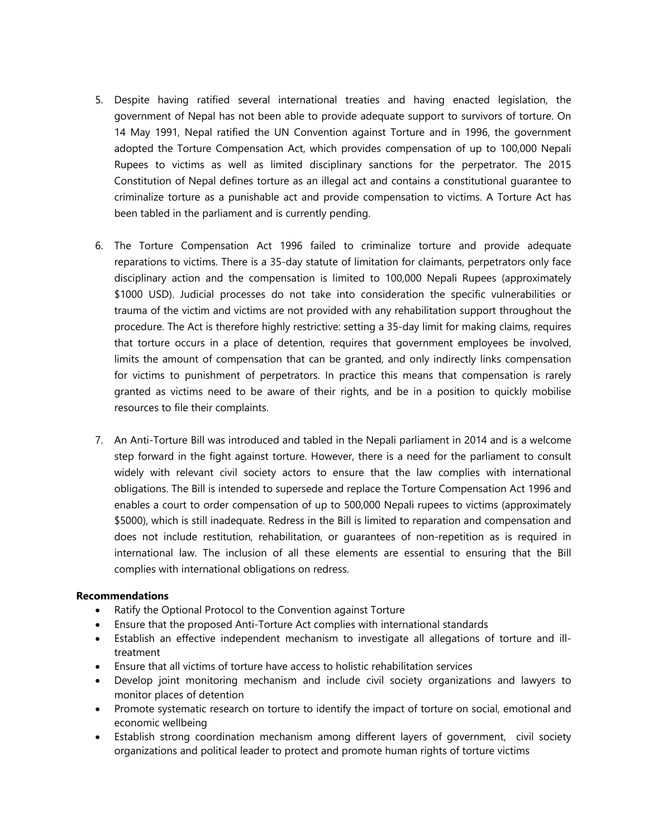- 5. Despite having ratified several international treaties and having enacted legislation, the governmen<sup>t</sup> of Nepal has not been able to provide adequate support to survivors of torture. On 14 May 1991, Nepal ratified the UN Convention against Torture and in 1996, the governmen<sup>t</sup> adopted the Torture Compensation Act, which provides compensation of up to 100,000 Nepali Rupees to victims as well as limited disciplinary sanctions for the perpetrator. The 2015 Constitution of Nepal defines torture as an illegal act and contains <sup>a</sup> constitutional guarantee to criminalize torture as <sup>a</sup> punishable act and provide compensation to victims. A Torture Act has been tabled in the parliament and is currently pending.
- 6. The Torture Compensation Act 1996 failed to criminalize torture and provide adequate reparations to victims. There is <sup>a</sup> 35-day statute of limitation for claimants, perpetrators only face disciplinary action and the compensation is limited to 100,000 Nepali Rupees (approximately \$1000 USD). Judicial processes do not take into consideration the specific vulnerabilities or trauma of the victim and victims are not provided with any rehabilitation support throughout the procedure. The Act is therefore highly restrictive: setting <sup>a</sup> 35-day limit for making claims, requires that torture occurs in <sup>a</sup> place of detention, requires that governmen<sup>t</sup> employees be involved, limits the amount of compensation that can be granted, and only indirectly links compensation for victims to punishment of perpetrators. In practice this means that compensation is rarely granted as victims need to be aware of their rights, and be in <sup>a</sup> position to quickly mobilise resources to file their complaints.
- 7. An Anti-Torture Bill was introduced and tabled in the Nepali parliament in 2014 and is <sup>a</sup> welcome step forward in the fight against torture. However, there is <sup>a</sup> need for the parliament to consult widely with relevant civil society actors to ensure that the law complies with international obligations. The Bill is intended to supersede and replace the Torture Compensation Act 1996 and enables <sup>a</sup> court to order compensation of up to 500,000 Nepali rupees to victims (approximately \$5000), which is still inadequate. Redress in the Bill is limited to reparation and compensation and does not include restitution, rehabilitation, or guarantees of non-repetition as is required in international law. The inclusion of all these elements are essential to ensuring that the Bill complies with international obligations on redress.

#### **Recommendations**

- $\bullet$ Ratify the Optional Protocol to the Convention against Torture
- Ensure that the proposed Anti-Torture Act complies with international standards
- Establish an effective independent mechanism to investigate all allegations of torture and illtreatment
- Ensure that all victims of torture have access to holistic rehabilitation services
- Develop joint monitoring mechanism and include civil society organizations and lawyers to monitor places of detention
- Promote systematic research on torture to identify the impact of torture on social, emotional and economic wellbeing
- Establish strong coordination mechanism among different layers of government, civil society organizations and political leader to protect and promote human rights of torture victims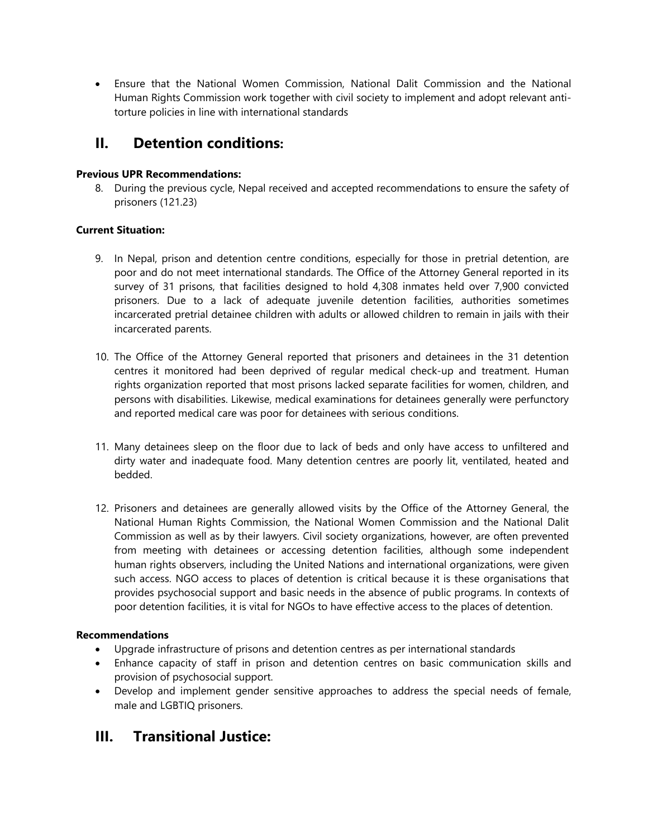Ensure that the National Women Commission, National Dalit Commission and the National Human Rights Commission work together with civil society to implement and adopt relevant antitorture policies in line with international standards

# **II. Detention conditions:**

## **Previous UPR Recommendations:**

8. During the previous cycle, Nepal received and accepted recommendations to ensure the safety of prisoners (121.23)

## **Current Situation:**

- 9. In Nepal, prison and detention centre conditions, especially for those in pretrial detention, are poor and do not meet international standards. The Office of the Attorney General reported in its survey of 31 prisons, that facilities designed to hold 4,308 inmates held over 7,900 convicted prisoners. Due to <sup>a</sup> lack of adequate juvenile detention facilities, authorities sometimes incarcerated pretrial detainee children with adults or allowed children to remain in jails with their incarcerated parents.
- 10. The Office of the Attorney General reported that prisoners and detainees in the 31 detention centres it monitored had been deprived of regular medical check-up and treatment. Human rights organization reported that most prisons lacked separate facilities for women, children, and persons with disabilities. Likewise, medical examinations for detainees generally were perfunctory and reported medical care was poor for detainees with serious conditions.
- 11. Many detainees sleep on the floor due to lack of beds and only have access to unfiltered and dirty water and inadequate food. Many detention centres are poorly lit, ventilated, heated and bedded.
- 12. Prisoners and detainees are generally allowed visits by the Office of the Attorney General, the National Human Rights Commission, the National Women Commission and the National Dalit Commission as well as by their lawyers. Civil society organizations, however, are often prevented from meeting with detainees or accessing detention facilities, although some independent human rights observers, including the United Nations and international organizations, were given such access. NGO access to places of detention is critical because it is these organisations that provides psychosocial support and basic needs in the absence of public programs. In contexts of poor detention facilities, it is vital for NGOs to have effective access to the places of detention.

# **Recommendations**

- c Upgrade infrastructure of prisons and detention centres as per international standards
- $\bullet$  Enhance capacity of staff in prison and detention centres on basic communication skills and provision of psychosocial support.
- Develop and implement gender sensitive approaches to address the special needs of female, male and LGBTIQ prisoners.

# **III. Transitional Justice:**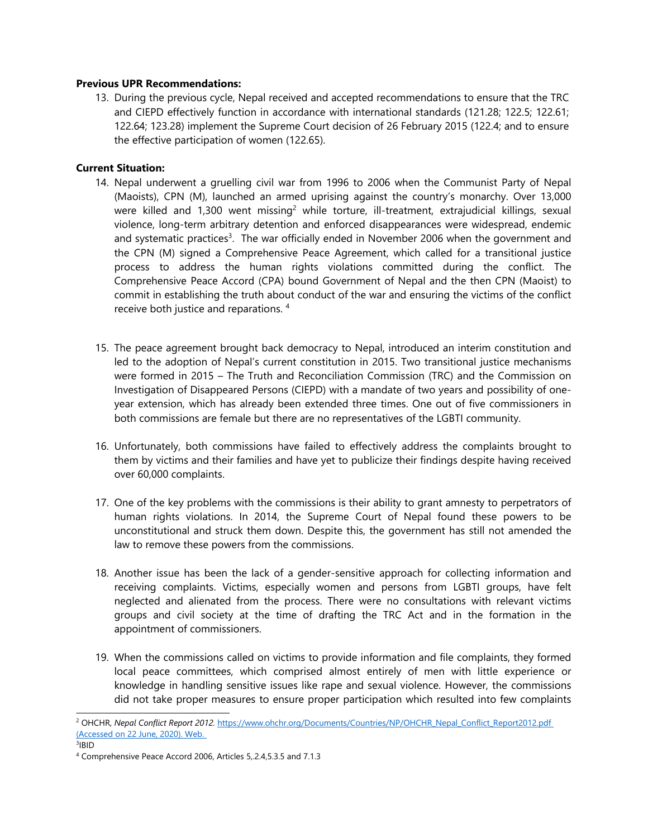#### **Previous UPR Recommendations:**

13. During the previous cycle, Nepal received and accepted recommendations to ensure that the TRC and CIEPD effectively function in accordance with international standards (121.28; 122.5; 122.61; 122.64; 123.28) implement the Supreme Court decision of 26 February 2015 (122.4; and to ensure the effective participation of women (122.65).

## **Current Situation:**

- 14. Nepal underwent <sup>a</sup> gruelling civil war from 1996 to 2006 when the Communist Party of Nepal (Maoists), CPN (M), launched an armed uprising against the country'<sup>s</sup> monarchy. Over 13,000 were killed and 1,300 went missing<sup>2</sup> while torture, ill-treatment, extrajudicial killings, sexual violence, long-term arbitrary detention and enforced disappearances were widespread, endemic and systematic practices<sup>3</sup>. The war officially ended in November 2006 when the government and the CPN (M) signed <sup>a</sup> Comprehensive Peace Agreement, which called for <sup>a</sup> transitional justice process to address the human rights violations committed during the conflict. The Comprehensive Peace Accord (CPA) bound Government of Nepal and the then CPN (Maoist) to commit in establishing the truth about conduct of the war and ensuring the victims of the conflict receive both justice and reparations. 4
- 15. The peace agreemen<sup>t</sup> brought back democracy to Nepal, introduced an interim constitution and led to the adoption of Nepal'<sup>s</sup> current constitution in 2015. Two transitional justice mechanisms were formed in 2015 – The Truth and Reconciliation Commission (TRC) and the Commission on Investigation of Disappeared Persons (CIEPD) with <sup>a</sup> mandate of two years and possibility of oneyear extension, which has already been extended three times. One out of five commissioners in both commissions are female but there are no representatives of the LGBTI community.
- 16. Unfortunately, both commissions have failed to effectively address the complaints brought to them by victims and their families and have ye<sup>t</sup> to publicize their findings despite having received over 60,000 complaints.
- 17. One of the key problems with the commissions is their ability to gran<sup>t</sup> amnesty to perpetrators of human rights violations. In 2014, the Supreme Court of Nepal found these powers to be unconstitutional and struck them down. Despite this, the governmen<sup>t</sup> has still not amended the law to remove these powers from the commissions.
- 18. Another issue has been the lack of <sup>a</sup> gender-sensitive approach for collecting information and receiving complaints. Victims, especially women and persons from LGBTI groups, have felt neglected and alienated from the process. There were no consultations with relevant victims groups and civil society at the time of drafting the TRC Act and in the formation in the appointment of commissioners.
- 19. When the commissions called on victims to provide information and file complaints, they formed local peace committees, which comprised almost entirely of men with little experience or knowledge in handling sensitive issues like rape and sexual violence. However, the commissions did not take proper measures to ensure proper participation which resulted into few complaints

<sup>2</sup> OHCHR, *Nepal Conflict Report 2012.* [https://www.ohchr.org/Documents/Countries/NP/OHCHR\\_Nepal\\_Conflict\\_Report2012.pdf](https://www.ohchr.org/Documents/Countries/NP/OHCHR_Nepal_Conflict_Report2012.pdf) (Accessed on 22 June, 2020). Web.

<sup>&</sup>lt;sup>3</sup>IBID

<sup>4</sup> Comprehensive Peace Accord 2006, Articles 5,.2.4,5.3.5 and 7.1.3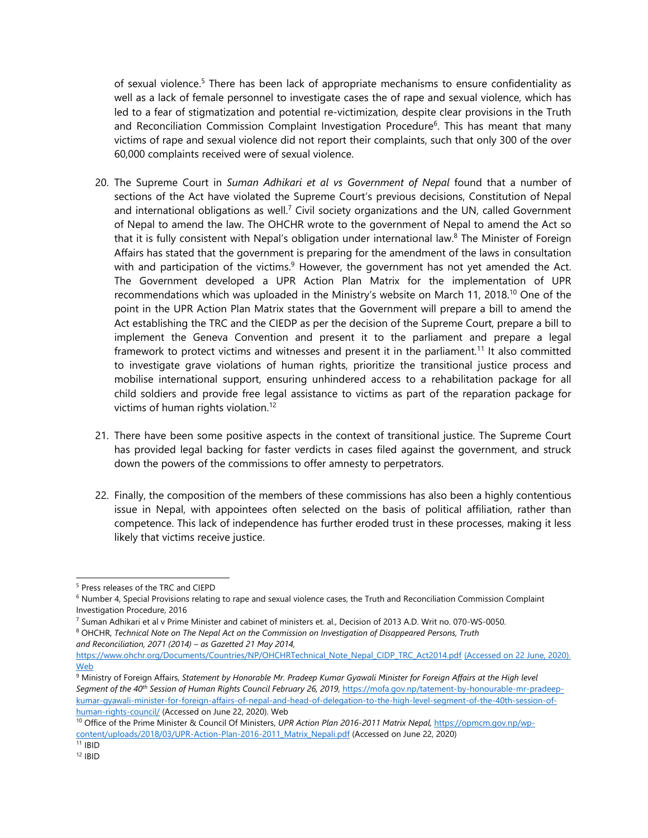of sexual violence.<sup>5</sup> There has been lack of appropriate mechanisms to ensure confidentiality as well as <sup>a</sup> lack of female personnel to investigate cases the of rape and sexual violence, which has led to <sup>a</sup> fear of stigmatization and potential re-victimization, despite clear provisions in the Truth and Reconciliation Commission Complaint Investigation Procedure<sup>6</sup>. This has meant that many victims of rape and sexual violence did not report their complaints, such that only 300 of the over 60,000 complaints received were of sexual violence.

- 20. The Supreme Court in *Suman Adhikari et al vs Government of Nepal* found that <sup>a</sup> number of sections of the Act have violated the Supreme Court'<sup>s</sup> previous decisions, Constitution of Nepal and international obligations as well. $^7$  Civil society organizations and the UN, called Government of Nepal to amend the law. The OHCHR wrote to the governmen<sup>t</sup> of Nepal to amend the Act so that it is fully consistent with Nepal's obligation under international law.<sup>8</sup> The Minister of Foreign Affairs has stated that the governmen<sup>t</sup> is preparing for the amendment of the laws in consultation with and participation of the victims. $^9$  However, the government has not yet amended the Act. The Government developed <sup>a</sup> UPR Action Plan Matrix for the implementation of UPR recommendations which was uploaded in the Ministry's website on March 11, 2018.<sup>10</sup> One of the point in the UPR Action Plan Matrix states that the Government will prepare <sup>a</sup> bill to amend the Act establishing the TRC and the CIEDP as per the decision of the Supreme Court, prepare <sup>a</sup> bill to implement the Geneva Convention and present it to the parliament and prepare <sup>a</sup> legal framework to protect victims and witnesses and present it in the parliament.<sup>11</sup> It also committed to investigate grave violations of human rights, prioritize the transitional justice process and mobilise international support, ensuring unhindered access to <sup>a</sup> rehabilitation package for all child soldiers and provide free legal assistance to victims as part of the reparation package for victims of human rights violation. 12
- 21. There have been some positive aspects in the context of transitional justice. The Supreme Court has provided legal backing for faster verdicts in cases filed against the government, and struck down the powers of the commissions to offer amnesty to perpetrators.
- 22. Finally, the composition of the members of these commissions has also been <sup>a</sup> highly contentious issue in Nepal, with appointees often selected on the basis of political affiliation, rather than competence. This lack of independence has further eroded trust in these processes, making it less likely that victims receive justice.

[https://www.ohchr.org/Documents/Countries/NP/OHCHRTechnical\\_Note\\_Nepal\\_CIDP\\_TRC\\_Act2014.pdf](https://www.ohchr.org/Documents/Countries/NP/OHCHRTechnical_Note_Nepal_CIDP_TRC_Act2014.pdf) (Accessed on 22 June, 2020). Web

<sup>5</sup> Press releases of the TRC and CIEPD

<sup>6</sup> Number 4, Special Provisions relating to rape and sexual violence cases, the Truth and Reconciliation Commission Complaint Investigation Procedure, 2016

<sup>7</sup> Suman Adhikari et al <sup>v</sup> Prime Minister and cabinet of ministers et. al., Decision of 2013 A.D. Writ no. 070-WS-0050. 8 OHCHR, *Technical Note on The Nepal Act on the Commission on Investigation of Disappeared Persons, Truth and Reconciliation, 2071 (2014) – as Gazetted 21 May 2014,*

<sup>&</sup>lt;sup>9</sup> Ministry of Foreign Affairs, Statement by Honorable Mr. Pradeep Kumar Gyawali Minister for Foreign Affairs at the High level *Segment of the <sup>40</sup>th Session of Human Rights Council February 26, 2019,* [https://mofa.gov.np/tatement-by-honourable-mr-pradeep](https://mofa.gov.np/tatement-by-honourable-mr-pradeep-kumar-gyawali-minister-for-foreign-affairs-of-nepal-and-head-of-delegation-to-the-high-level-segment-of-the-40th-session-of-human-rights-council/)[kumar-gyawali-minister-for-foreign-affairs-of-nepal-and-head-of-delegation-to-the-high-level-segment-of-the-40th-session-of](https://mofa.gov.np/tatement-by-honourable-mr-pradeep-kumar-gyawali-minister-for-foreign-affairs-of-nepal-and-head-of-delegation-to-the-high-level-segment-of-the-40th-session-of-human-rights-council/)[human-rights-council/](https://mofa.gov.np/tatement-by-honourable-mr-pradeep-kumar-gyawali-minister-for-foreign-affairs-of-nepal-and-head-of-delegation-to-the-high-level-segment-of-the-40th-session-of-human-rights-council/) (Accessed on June 22, 2020). Web

<sup>10</sup> Office of the Prime Minister & Council Of Ministers, *UPR Action Plan 2016-2011 Matrix Nepal,* [https://opmcm.gov.np/wp](https://opmcm.gov.np/wp-content/uploads/2018/03/UPR-Action-Plan-2016-2011_Matrix_Nepali.pdf)[content/uploads/2018/03/UPR-Action-Plan-2016-2011\\_Matrix\\_Nepali.pdf](https://opmcm.gov.np/wp-content/uploads/2018/03/UPR-Action-Plan-2016-2011_Matrix_Nepali.pdf) (Accessed on June 22, 2020)

<sup>11</sup> IBID

<sup>12</sup> IBID